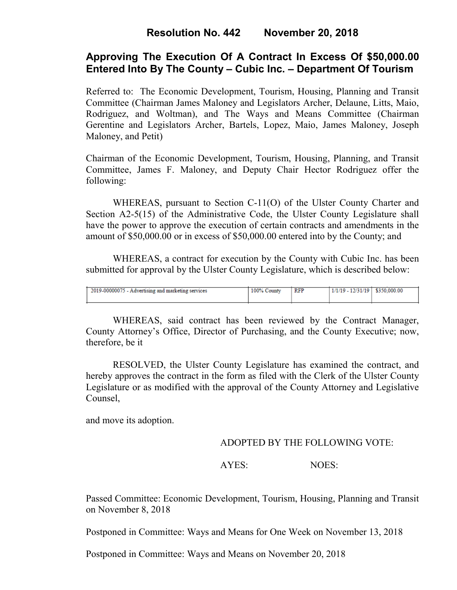## **Approving The Execution Of A Contract In Excess Of \$50,000.00 Entered Into By The County – Cubic Inc. – Department Of Tourism**

Referred to: The Economic Development, Tourism, Housing, Planning and Transit Committee (Chairman James Maloney and Legislators Archer, Delaune, Litts, Maio, Rodriguez, and Woltman), and The Ways and Means Committee (Chairman Gerentine and Legislators Archer, Bartels, Lopez, Maio, James Maloney, Joseph Maloney, and Petit)

Chairman of the Economic Development, Tourism, Housing, Planning, and Transit Committee, James F. Maloney, and Deputy Chair Hector Rodriguez offer the following:

WHEREAS, pursuant to Section C-11(O) of the Ulster County Charter and Section A2-5(15) of the Administrative Code, the Ulster County Legislature shall have the power to approve the execution of certain contracts and amendments in the amount of \$50,000.00 or in excess of \$50,000.00 entered into by the County; and

WHEREAS, a contract for execution by the County with Cubic Inc. has been submitted for approval by the Ulster County Legislature, which is described below:

| 2019-00000075 - Advertising and marketing services | 100% Co<br>County | RFP | $1/1/19 - 12/31/19$ | \$350,000.00 |
|----------------------------------------------------|-------------------|-----|---------------------|--------------|
|                                                    |                   |     |                     |              |

WHEREAS, said contract has been reviewed by the Contract Manager, County Attorney's Office, Director of Purchasing, and the County Executive; now, therefore, be it

RESOLVED, the Ulster County Legislature has examined the contract, and hereby approves the contract in the form as filed with the Clerk of the Ulster County Legislature or as modified with the approval of the County Attorney and Legislative Counsel,

and move its adoption.

#### ADOPTED BY THE FOLLOWING VOTE:

### AYES: NOES:

Passed Committee: Economic Development, Tourism, Housing, Planning and Transit on November 8, 2018

Postponed in Committee: Ways and Means for One Week on November 13, 2018

Postponed in Committee: Ways and Means on November 20, 2018